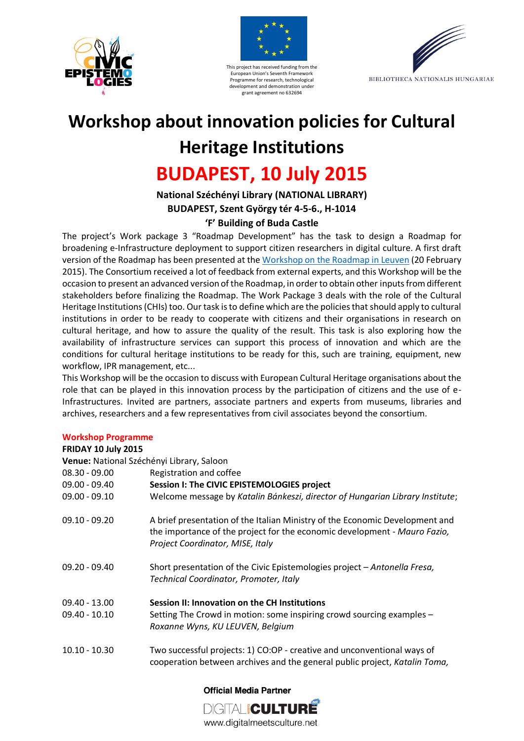





# **Workshop about innovation policies for Cultural Heritage Institutions**

# **BUDAPEST, 10 July 2015**

# **National Széchényi Library (NATIONAL LIBRARY) BUDAPEST, Szent György tér 4-5-6., H-1014 'F' Building of Buda Castle**

The project's Work package 3 "Roadmap Development" has the task to design a Roadmap for broadening e-Infrastructure deployment to support citizen researchers in digital culture. A first draft version of the Roadmap has been presented at the [Workshop on the Roadmap in Leuven](http://www.civic-epistemologies.eu/workshop-on-roadmap-leuven-20-february-2015/) (20 February 2015). The Consortium received a lot of feedback from external experts, and this Workshop will be the occasion to present an advanced version of the Roadmap, in order to obtain other inputsfrom different stakeholders before finalizing the Roadmap. The Work Package 3 deals with the role of the Cultural Heritage Institutions (CHIs) too. Our task isto define which are the policies that should apply to cultural institutions in order to be ready to cooperate with citizens and their organisations in research on cultural heritage, and how to assure the quality of the result. This task is also exploring how the availability of infrastructure services can support this process of innovation and which are the conditions for cultural heritage institutions to be ready for this, such are training, equipment, new workflow, IPR management, etc...

This Workshop will be the occasion to discuss with European Cultural Heritage organisations about the role that can be played in this innovation process by the participation of citizens and the use of e-Infrastructures. Invited are partners, associate partners and experts from museums, libraries and archives, researchers and a few representatives from civil associates beyond the consortium.

#### **Workshop Programme**

#### **FRIDAY 10 July 2015**

**Venue:** National Széchényi Library, Saloon

| 08.30 - 09.00 | Registration and coffee |
|---------------|-------------------------|
|               |                         |

| oo.ju uj.uu     | ncaistration and conce                                                                                                                                                                        |
|-----------------|-----------------------------------------------------------------------------------------------------------------------------------------------------------------------------------------------|
| $09.00 - 09.40$ | Session I: The CIVIC EPISTEMOLOGIES project                                                                                                                                                   |
| $09.00 - 09.10$ | Welcome message by Katalin Bánkeszi, director of Hungarian Library Institute;                                                                                                                 |
| $09.10 - 09.20$ | A brief presentation of the Italian Ministry of the Economic Development and<br>the importance of the project for the economic development - Mauro Fazio,<br>Project Coordinator, MISE, Italy |
| $09.20 - 09.40$ | Short presentation of the Civic Epistemologies project - Antonella Fresa,<br>Technical Coordinator, Promoter, Italy                                                                           |
| $09.40 - 13.00$ | Session II: Innovation on the CH Institutions                                                                                                                                                 |
| $09.40 - 10.10$ | Setting The Crowd in motion: some inspiring crowd sourcing examples -<br>Roxanne Wyns, KU LEUVEN, Belgium                                                                                     |
| $10.10 - 10.30$ | Two successful projects: 1) CO:OP - creative and unconventional ways of<br>cooperation between archives and the general public project, Katalin Toma,                                         |

**Official Media Partner** 

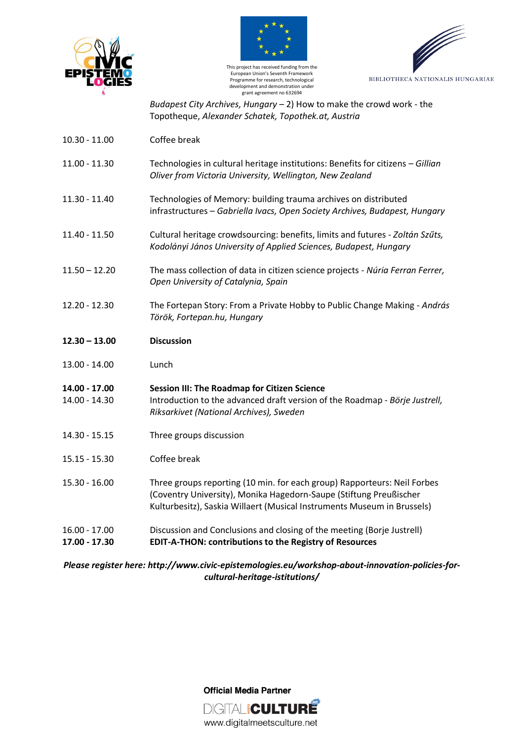





*Budapest City Archives, Hungary –* 2) How to make the crowd work - the Topotheque, *Alexander Schatek, Topothek.at, Austria*

- 10.30 11.00 Coffee break
- 11.00 11.30 Technologies in cultural heritage institutions: Benefits for citizens *Gillian Oliver from Victoria University, Wellington, New Zealand*
- 11.30 11.40 Technologies of Memory: building trauma archives on distributed infrastructures – *Gabriella Ivacs, Open Society Archives, Budapest, Hungary*
- 11.40 11.50 Cultural heritage crowdsourcing: benefits, limits and futures *Zoltán Szűts, Kodolányi János University of Applied Sciences, Budapest, Hungary*
- 11.50 12.20 The mass collection of data in citizen science projects *- Núria Ferran Ferrer, Open University of Catalynia, Spain*
- 12.20 12.30 The Fortepan Story: From a Private Hobby to Public Change Making *András Török, Fortepan.hu, Hungary*
- **12.30 – 13.00 Discussion**
- 13.00 14.00 Lunch
- **14.00 - 17.00 Session III: The Roadmap for Citizen Science** 14.00 - 14.30 Introduction to the advanced draft version of the Roadmap - *Börje Justrell, Riksarkivet (National Archives), Sweden*
- 14.30 15.15 Three groups discussion
- 15.15 15.30 Coffee break
- 15.30 16.00 Three groups reporting (10 min. for each group) Rapporteurs: Neil Forbes (Coventry University), Monika Hagedorn-Saupe (Stiftung Preußischer Kulturbesitz), Saskia Willaert (Musical Instruments Museum in Brussels)
- 16.00 17.00 Discussion and Conclusions and closing of the meeting (Borje Justrell) **17.00 - 17.30 EDIT-A-THON: contributions to the Registry of Resources**

*Please register here: http://www.civic-epistemologies.eu/workshop-about-innovation-policies-forcultural-heritage-istitutions/*

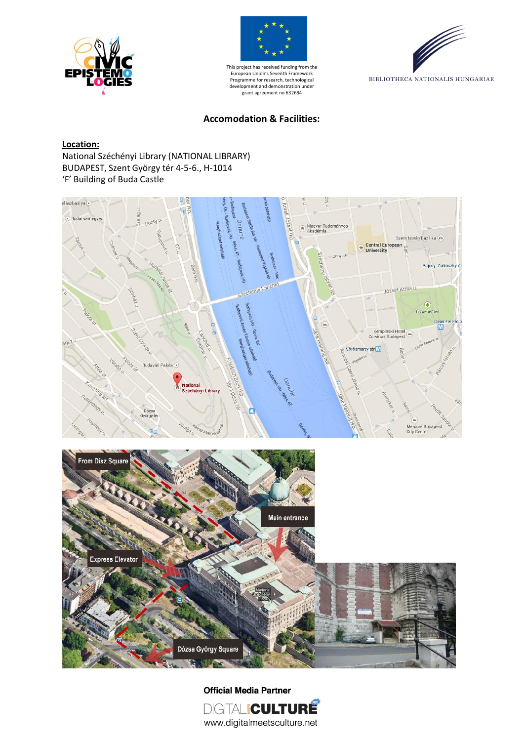





#### **Accomodation & Facilities:**

#### **Location:**

National Széchényi Library (NATIONAL LIBRARY) BUDAPEST, Szent György tér 4-5-6., H-1014 'F' Building of Buda Castle





**Official Media Partner** DIGITALICULTURE www.digitalmeetsculture.net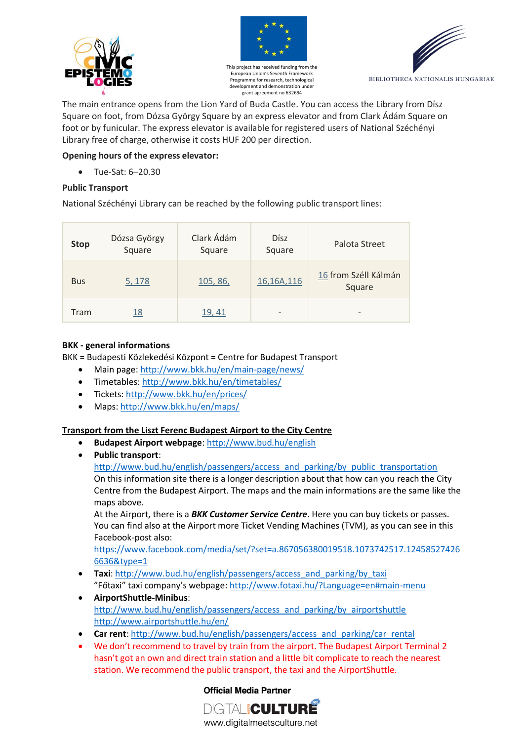





The main entrance opens from the Lion Yard of Buda Castle. You can access the Library from Dísz Square on foot, from Dózsa György Square by an express elevator and from Clark Ádám Square on foot or by funicular. The express elevator is available for registered users of National Széchényi Library free of charge, otherwise it costs HUF 200 per direction.

# **Opening hours of the express elevator:**

Tue-Sat: 6–20.30

#### **Public Transport**

National Széchényi Library can be reached by the following public transport lines:

| <b>Stop</b> | Dózsa György<br>Square | Clark Ádám<br>Square | <b>D</b> ísz<br>Square | Palota Street                  |
|-------------|------------------------|----------------------|------------------------|--------------------------------|
| <b>Bus</b>  | 5, 178                 | 105, 86,             | 16,16A,116             | 16 from Széll Kálmán<br>Square |
| Tram        | <u> 18</u>             | 19, 41               | -                      | $\overline{\phantom{a}}$       |

### **BKK - general informations**

BKK = Budapesti Közlekedési Központ = Centre for Budapest Transport

- Main page[: http://www.bkk.hu/en/main-page/news/](http://www.bkk.hu/en/main-page/news/)
- Timetables[: http://www.bkk.hu/en/timetables/](http://www.bkk.hu/en/timetables/)
- Tickets:<http://www.bkk.hu/en/prices/>
- Maps:<http://www.bkk.hu/en/maps/>

# **Transport from the Liszt Ferenc Budapest Airport to the City Centre**

- **Budapest Airport webpage**:<http://www.bud.hu/english>
- **Public transport**:

[http://www.bud.hu/english/passengers/access\\_and\\_parking/by\\_public\\_transportation](http://www.bud.hu/english/passengers/access_and_parking/by_public_transportation) On this information site there is a longer description about that how can you reach the City Centre from the Budapest Airport. The maps and the main informations are the same like the maps above.

At the Airport, there is a *BKK Customer Service Centre*. Here you can buy tickets or passes. You can find also at the Airport more Ticket Vending Machines (TVM), as you can see in this Facebook-post also:

[https://www.facebook.com/media/set/?set=a.867056380019518.1073742517.12458527426](https://www.facebook.com/media/set/?set=a.867056380019518.1073742517.124585274266636&type=1) [6636&type=1](https://www.facebook.com/media/set/?set=a.867056380019518.1073742517.124585274266636&type=1)

- **•** Taxi: [http://www.bud.hu/english/passengers/access\\_and\\_parking/by\\_taxi](http://www.bud.hu/english/passengers/access_and_parking/by_taxi) "Főtaxi" taxi company's webpage: <http://www.fotaxi.hu/?Language=en#main-menu>
- **AirportShuttle-Minibus**: [http://www.bud.hu/english/passengers/access\\_and\\_parking/by\\_airportshuttle](http://www.bud.hu/english/passengers/access_and_parking/by_airportshuttle) <http://www.airportshuttle.hu/en/>
- **•** Car rent: [http://www.bud.hu/english/passengers/access\\_and\\_parking/car\\_rental](http://www.bud.hu/english/passengers/access_and_parking/car_rental)
- We don't recommend to travel by train from the airport. The Budapest Airport Terminal 2 hasn't got an own and direct train station and a little bit complicate to reach the nearest station. We recommend the public transport, the taxi and the AirportShuttle.

# **Official Media Partner**